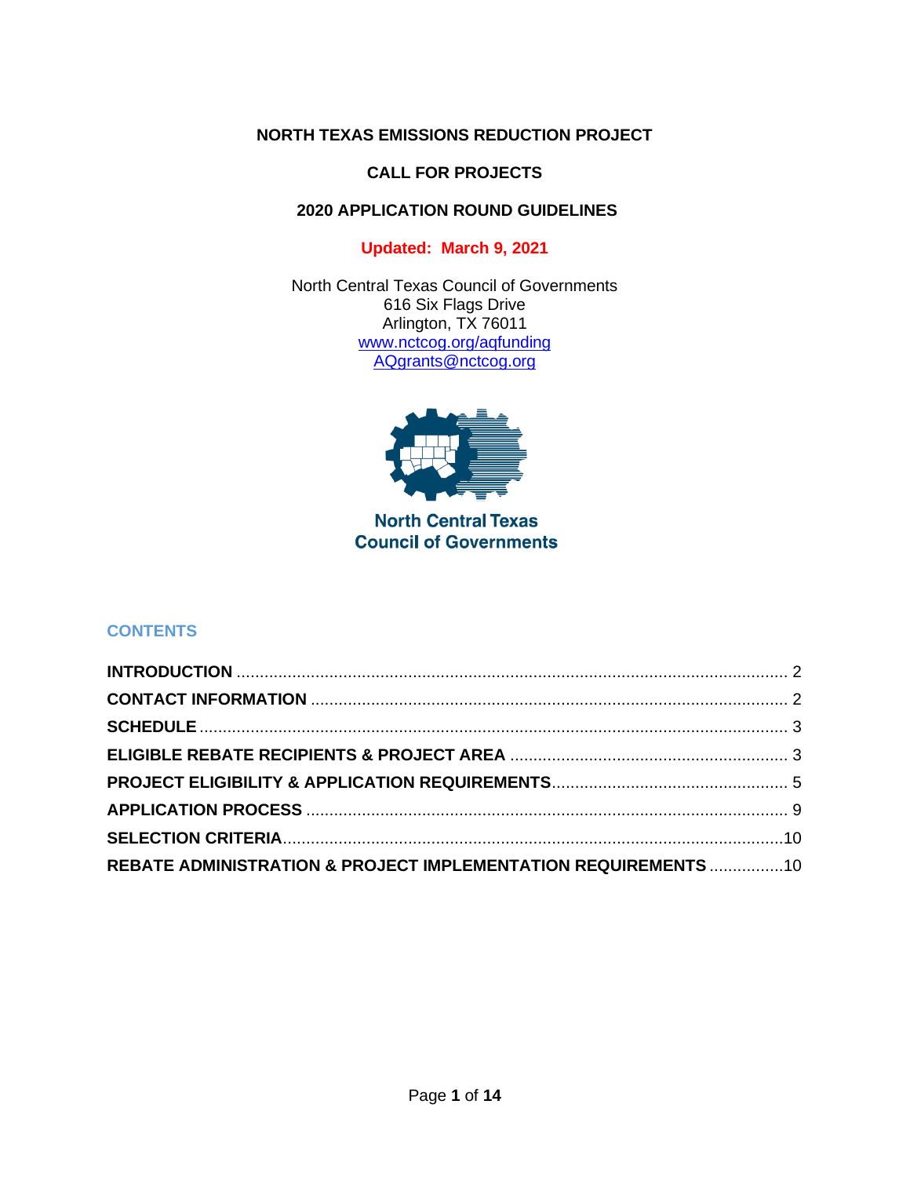### **NORTH TEXAS EMISSIONS REDUCTION PROJECT**

### **CALL FOR PROJECTS**

# **2020 APPLICATION ROUND GUIDELINES**

# **Updated: March 9, 2021**

North Central Texas Council of Governments 616 Six Flags Drive Arlington, TX 76011 [www.nctcog.org/aqfunding](http://www.nctcog.org/aqfunding) [AQgrants@nctcog.org](mailto:AQgrants@nctcog.org)



# **North Central Texas Council of Governments**

# **CONTENTS**

<span id="page-0-0"></span>

| REBATE ADMINISTRATION & PROJECT IMPLEMENTATION REQUIREMENTS 10 |  |
|----------------------------------------------------------------|--|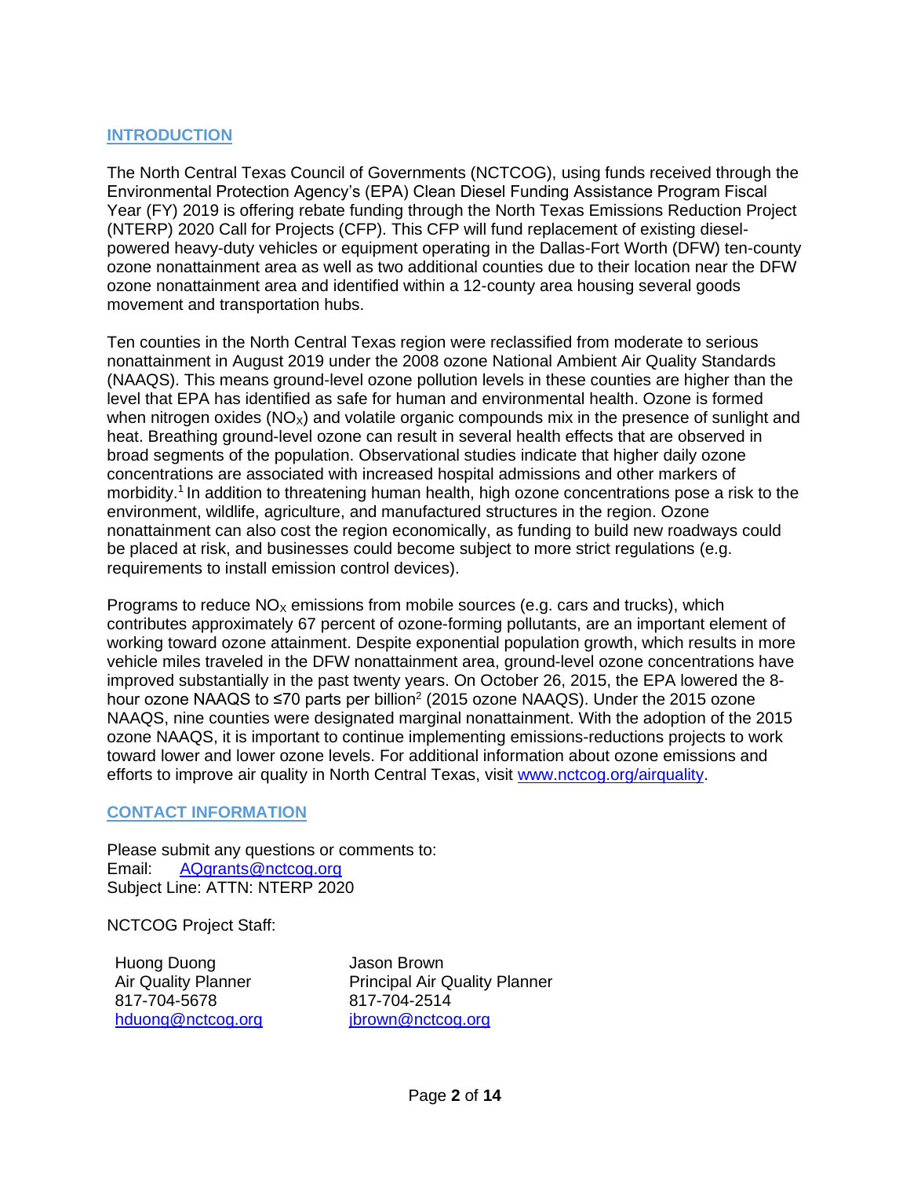#### **INTRODUCTION**

The North Central Texas Council of Governments (NCTCOG), using funds received through the Environmental Protection Agency's (EPA) Clean Diesel Funding Assistance Program Fiscal Year (FY) 2019 is offering rebate funding through the North Texas Emissions Reduction Project (NTERP) 2020 Call for Projects (CFP). This CFP will fund replacement of existing dieselpowered heavy-duty vehicles or equipment operating in the Dallas-Fort Worth (DFW) ten-county ozone nonattainment area as well as two additional counties due to their location near the DFW ozone nonattainment area and identified within a 12-county area housing several goods movement and transportation hubs.

Ten counties in the North Central Texas region were reclassified from moderate to serious nonattainment in August 2019 under the 2008 ozone National Ambient Air Quality Standards (NAAQS). This means ground-level ozone pollution levels in these counties are higher than the level that EPA has identified as safe for human and environmental health. Ozone is formed when nitrogen oxides  $(NO<sub>x</sub>)$  and volatile organic compounds mix in the presence of sunlight and heat. Breathing ground-level ozone can result in several health effects that are observed in broad segments of the population. Observational studies indicate that higher daily ozone concentrations are associated with increased hospital admissions and other markers of morbidity.<sup>1</sup> In addition to threatening human health, high ozone concentrations pose a risk to the environment, wildlife, agriculture, and manufactured structures in the region. Ozone nonattainment can also cost the region economically, as funding to build new roadways could be placed at risk, and businesses could become subject to more strict regulations (e.g. requirements to install emission control devices).

Programs to reduce  $NO<sub>x</sub>$  emissions from mobile sources (e.g. cars and trucks), which contributes approximately 67 percent of ozone-forming pollutants, are an important element of working toward ozone attainment. Despite exponential population growth, which results in more vehicle miles traveled in the DFW nonattainment area, ground-level ozone concentrations have improved substantially in the past twenty years. On October 26, 2015, the EPA lowered the 8 hour ozone NAAQS to ≤70 parts per billion<sup>2</sup> (2015 ozone NAAQS). Under the 2015 ozone NAAQS, nine counties were designated marginal nonattainment. With the adoption of the 2015 ozone NAAQS, it is important to continue implementing emissions-reductions projects to work toward lower and lower ozone levels. For additional information about ozone emissions and efforts to improve air quality in North Central Texas, visit [www.nctcog.org/airquality.](http://www.nctcog.org/airquality)

#### <span id="page-1-0"></span>**CONTACT INFORMATION**

Please submit any questions or comments to: Email: [AQgrants@nctcog.org](mailto:AQgrants@nctcog.org) Subject Line: ATTN: NTERP 2020

NCTCOG Project Staff:

Huong Duong Air Quality Planner 817-704-5678 [hduong@nctcog.org](mailto:hduong@nctcog.org) Jason Brown Principal Air Quality Planner 817-704-2514 [jbrown@nctcog.org](mailto:jbrown@nctcog.org)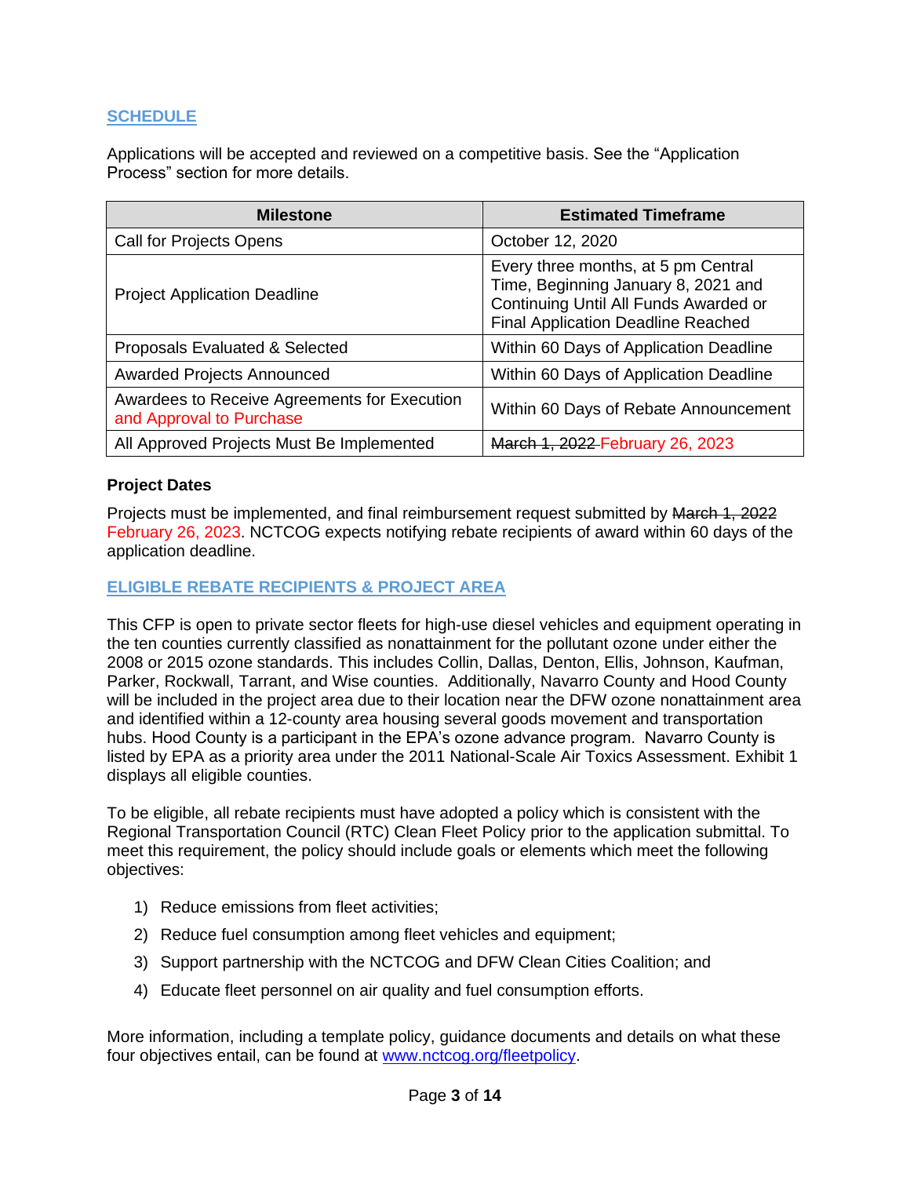### <span id="page-2-0"></span>**SCHEDULE**

Applications will be accepted and reviewed on a competitive basis. See the "Application Process" section for more details.

| <b>Milestone</b>                                                         | <b>Estimated Timeframe</b>                                                                                                                                       |
|--------------------------------------------------------------------------|------------------------------------------------------------------------------------------------------------------------------------------------------------------|
| Call for Projects Opens                                                  | October 12, 2020                                                                                                                                                 |
| <b>Project Application Deadline</b>                                      | Every three months, at 5 pm Central<br>Time, Beginning January 8, 2021 and<br>Continuing Until All Funds Awarded or<br><b>Final Application Deadline Reached</b> |
| Proposals Evaluated & Selected                                           | Within 60 Days of Application Deadline                                                                                                                           |
| <b>Awarded Projects Announced</b>                                        | Within 60 Days of Application Deadline                                                                                                                           |
| Awardees to Receive Agreements for Execution<br>and Approval to Purchase | Within 60 Days of Rebate Announcement                                                                                                                            |
| All Approved Projects Must Be Implemented                                | March 1, 2022 February 26, 2023                                                                                                                                  |

#### **Project Dates**

Projects must be implemented, and final reimbursement request submitted by March 1, 2022 February 26, 2023. NCTCOG expects notifying rebate recipients of award within 60 days of the application deadline.

#### <span id="page-2-1"></span>**ELIGIBLE REBATE RECIPIENTS & PROJECT AREA**

This CFP is open to private sector fleets for high-use diesel vehicles and equipment operating in the ten counties currently classified as nonattainment for the pollutant ozone under either the 2008 or 2015 ozone standards. This includes Collin, Dallas, Denton, Ellis, Johnson, Kaufman, Parker, Rockwall, Tarrant, and Wise counties. Additionally, Navarro County and Hood County will be included in the project area due to their location near the DFW ozone nonattainment area and identified within a 12-county area housing several goods movement and transportation hubs. Hood County is a participant in the EPA's ozone advance program. Navarro County is listed by EPA as a priority area under the 2011 National-Scale Air Toxics Assessment. Exhibit 1 displays all eligible counties.

To be eligible, all rebate recipients must have adopted a policy which is consistent with the Regional Transportation Council (RTC) Clean Fleet Policy prior to the application submittal. To meet this requirement, the policy should include goals or elements which meet the following objectives:

- 1) Reduce emissions from fleet activities;
- 2) Reduce fuel consumption among fleet vehicles and equipment;
- 3) Support partnership with the NCTCOG and DFW Clean Cities Coalition; and
- 4) Educate fleet personnel on air quality and fuel consumption efforts.

More information, including a template policy, guidance documents and details on what these four objectives entail, can be found at [www.nctcog.org/fleetpolicy.](http://www.nctcog.org/fleetpolicy)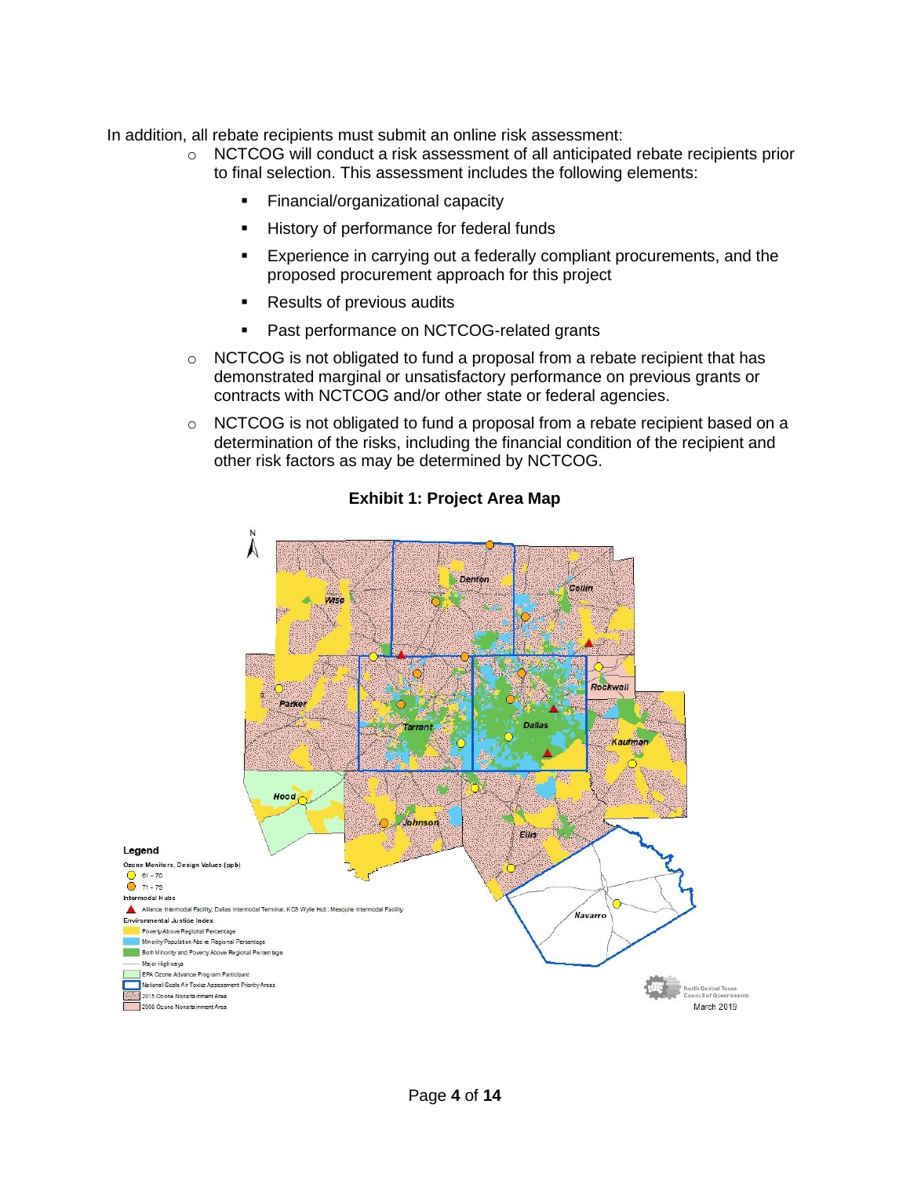In addition, all rebate recipients must submit an online risk assessment:

- o NCTCOG will conduct a risk assessment of all anticipated rebate recipients prior to final selection. This assessment includes the following elements:
	- **Einancial/organizational capacity**
	- History of performance for federal funds
	- Experience in carrying out a federally compliant procurements, and the proposed procurement approach for this project
	- Results of previous audits
	- Past performance on NCTCOG-related grants
- $\circ$  NCTCOG is not obligated to fund a proposal from a rebate recipient that has demonstrated marginal or unsatisfactory performance on previous grants or contracts with NCTCOG and/or other state or federal agencies.
- $\circ$  NCTCOG is not obligated to fund a proposal from a rebate recipient based on a determination of the risks, including the financial condition of the recipient and other risk factors as may be determined by NCTCOG.



#### **Exhibit 1: Project Area Map**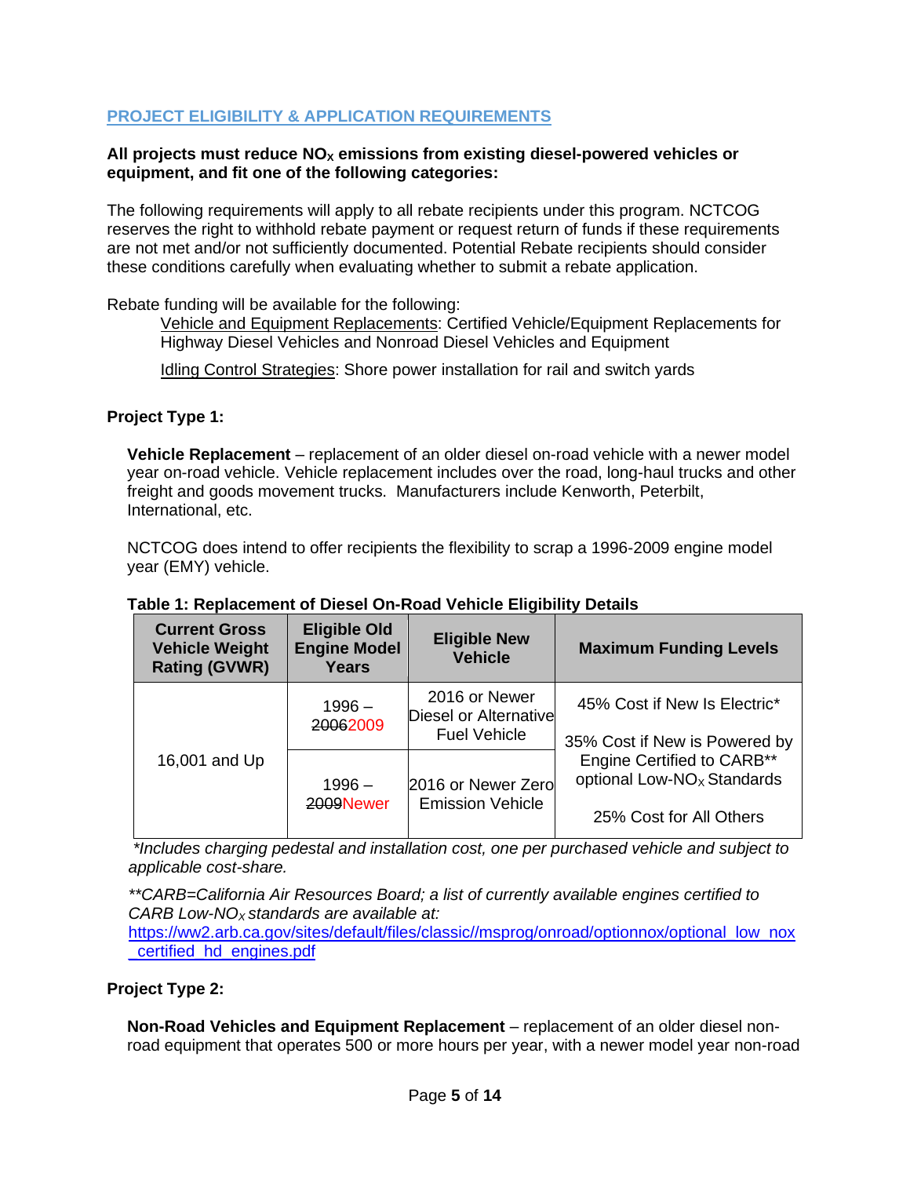### <span id="page-4-0"></span>**PROJECT ELIGIBILITY & APPLICATION REQUIREMENTS**

#### **All projects must reduce NO<sup>X</sup> emissions from existing diesel-powered vehicles or equipment, and fit one of the following categories:**

The following requirements will apply to all rebate recipients under this program. NCTCOG reserves the right to withhold rebate payment or request return of funds if these requirements are not met and/or not sufficiently documented. Potential Rebate recipients should consider these conditions carefully when evaluating whether to submit a rebate application.

Rebate funding will be available for the following:

Vehicle and Equipment Replacements: Certified Vehicle/Equipment Replacements for Highway Diesel Vehicles and Nonroad Diesel Vehicles and Equipment

Idling Control Strategies: Shore power installation for rail and switch yards

#### **Project Type 1:**

**Vehicle Replacement** – replacement of an older diesel on-road vehicle with a newer model year on-road vehicle. Vehicle replacement includes over the road, long-haul trucks and other freight and goods movement trucks. Manufacturers include Kenworth, Peterbilt. International, etc.

NCTCOG does intend to offer recipients the flexibility to scrap a 1996-2009 engine model year (EMY) vehicle.

| <b>Current Gross</b><br><b>Vehicle Weight</b><br><b>Rating (GVWR)</b> | <b>Eligible Old</b><br><b>Engine Model</b><br><b>Years</b> | <b>Eligible New</b><br><b>Vehicle</b>                         | <b>Maximum Funding Levels</b>                                                                                                           |
|-----------------------------------------------------------------------|------------------------------------------------------------|---------------------------------------------------------------|-----------------------------------------------------------------------------------------------------------------------------------------|
| 16,001 and Up                                                         | $1996 -$<br>20062009                                       | 2016 or Newer<br>Diesel or Alternative<br><b>Fuel Vehicle</b> | 45% Cost if New Is Electric*                                                                                                            |
|                                                                       | $1996 -$<br>2009Newer                                      | 2016 or Newer Zero<br><b>Emission Vehicle</b>                 | 35% Cost if New is Powered by<br><b>Engine Certified to CARB**</b><br>optional Low-NO <sub>x</sub> Standards<br>25% Cost for All Others |

#### **Table 1: Replacement of Diesel On-Road Vehicle Eligibility Details**

*\*Includes charging pedestal and installation cost, one per purchased vehicle and subject to applicable cost-share.*

*\*\*CARB=California Air Resources Board; a list of currently available engines certified to CARB Low-NOX standards are available at:* 

[https://ww2.arb.ca.gov/sites/default/files/classic//msprog/onroad/optionnox/optional\\_low\\_nox](https://ww2.arb.ca.gov/sites/default/files/classic/msprog/onroad/optionnox/optional_low_nox_certified_hd_engines.pdf) [\\_certified\\_hd\\_engines.pdf](https://ww2.arb.ca.gov/sites/default/files/classic/msprog/onroad/optionnox/optional_low_nox_certified_hd_engines.pdf)

#### **Project Type 2:**

**Non-Road Vehicles and Equipment Replacement** – replacement of an older diesel nonroad equipment that operates 500 or more hours per year, with a newer model year non-road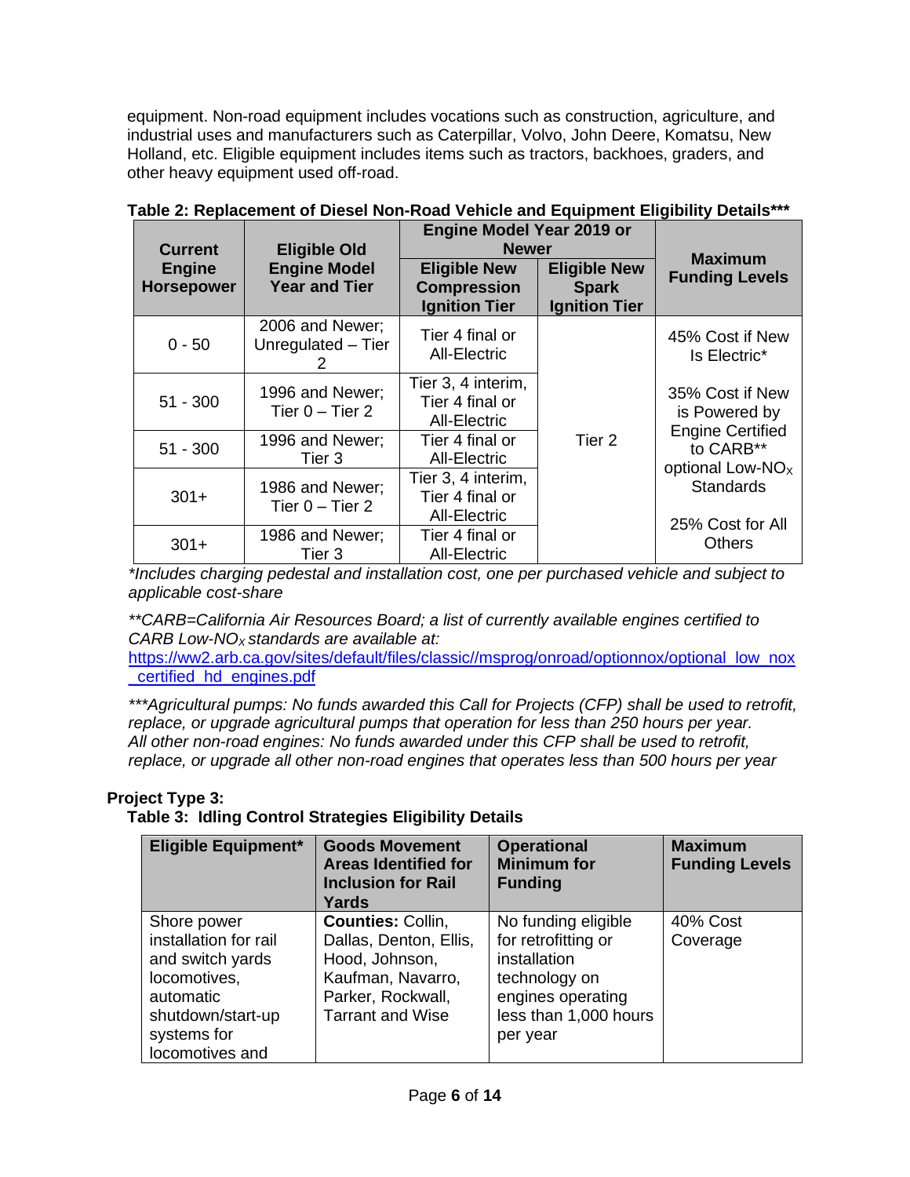equipment. Non-road equipment includes vocations such as construction, agriculture, and industrial uses and manufacturers such as Caterpillar, Volvo, John Deere, Komatsu, New Holland, etc. Eligible equipment includes items such as tractors, backhoes, graders, and other heavy equipment used off-road.

| <b>Current</b>                     | <b>Eligible Old</b>                         | <b>Engine Model Year 2019 or</b><br><b>Newer</b>                  |                                                             |                                                             |
|------------------------------------|---------------------------------------------|-------------------------------------------------------------------|-------------------------------------------------------------|-------------------------------------------------------------|
| <b>Engine</b><br><b>Horsepower</b> | <b>Engine Model</b><br><b>Year and Tier</b> | <b>Eligible New</b><br><b>Compression</b><br><b>Ignition Tier</b> | <b>Eligible New</b><br><b>Spark</b><br><b>Ignition Tier</b> | <b>Maximum</b><br><b>Funding Levels</b>                     |
| $0 - 50$                           | 2006 and Newer;<br>Unregulated - Tier       | Tier 4 final or<br><b>All-Electric</b>                            |                                                             | 45% Cost if New<br>Is Electric*                             |
| $51 - 300$                         | 1996 and Newer;<br>Tier $0 -$ Tier 2        | Tier 3, 4 interim,<br>Tier 4 final or<br><b>All-Electric</b>      |                                                             | 35% Cost if New<br>is Powered by<br><b>Engine Certified</b> |
| $51 - 300$                         | 1996 and Newer;<br>Tier 3                   | Tier 4 final or<br><b>All-Electric</b>                            | Tier 2                                                      | to CARB**<br>optional Low-NO <sub>x</sub>                   |
| $301+$                             | 1986 and Newer;<br>Tier $0 -$ Tier 2        | Tier 3, 4 interim,<br>Tier 4 final or<br><b>All-Electric</b>      |                                                             | <b>Standards</b><br>25% Cost for All                        |
| $301+$                             | 1986 and Newer;<br>Tier 3                   | Tier 4 final or<br>All-Electric                                   |                                                             | Others                                                      |

| Table 2: Replacement of Diesel Non-Road Vehicle and Equipment Eligibility Details*** |
|--------------------------------------------------------------------------------------|
|--------------------------------------------------------------------------------------|

*\*Includes charging pedestal and installation cost, one per purchased vehicle and subject to applicable cost-share* 

*\*\*CARB=California Air Resources Board; a list of currently available engines certified to CARB Low-NOX standards are available at:* 

[https://ww2.arb.ca.gov/sites/default/files/classic//msprog/onroad/optionnox/optional\\_low\\_nox](https://ww2.arb.ca.gov/sites/default/files/classic/msprog/onroad/optionnox/optional_low_nox_certified_hd_engines.pdf) [\\_certified\\_hd\\_engines.pdf](https://ww2.arb.ca.gov/sites/default/files/classic/msprog/onroad/optionnox/optional_low_nox_certified_hd_engines.pdf)

*\*\*\*Agricultural pumps: No funds awarded this Call for Projects (CFP) shall be used to retrofit, replace, or upgrade agricultural pumps that operation for less than 250 hours per year. All other non-road engines: No funds awarded under this CFP shall be used to retrofit, replace, or upgrade all other non-road engines that operates less than 500 hours per year*

### **Project Type 3:**

**Table 3: Idling Control Strategies Eligibility Details**

| <b>Eligible Equipment*</b>                                                                                                                   | <b>Goods Movement</b><br><b>Areas Identified for</b><br><b>Inclusion for Rail</b><br>Yards                                         | <b>Operational</b><br><b>Minimum for</b><br><b>Funding</b>                                                                            | <b>Maximum</b><br><b>Funding Levels</b> |
|----------------------------------------------------------------------------------------------------------------------------------------------|------------------------------------------------------------------------------------------------------------------------------------|---------------------------------------------------------------------------------------------------------------------------------------|-----------------------------------------|
| Shore power<br>installation for rail<br>and switch yards<br>locomotives,<br>automatic<br>shutdown/start-up<br>systems for<br>locomotives and | Counties: Collin,<br>Dallas, Denton, Ellis,<br>Hood, Johnson,<br>Kaufman, Navarro,<br>Parker, Rockwall,<br><b>Tarrant and Wise</b> | No funding eligible<br>for retrofitting or<br>installation<br>technology on<br>engines operating<br>less than 1,000 hours<br>per year | 40% Cost<br>Coverage                    |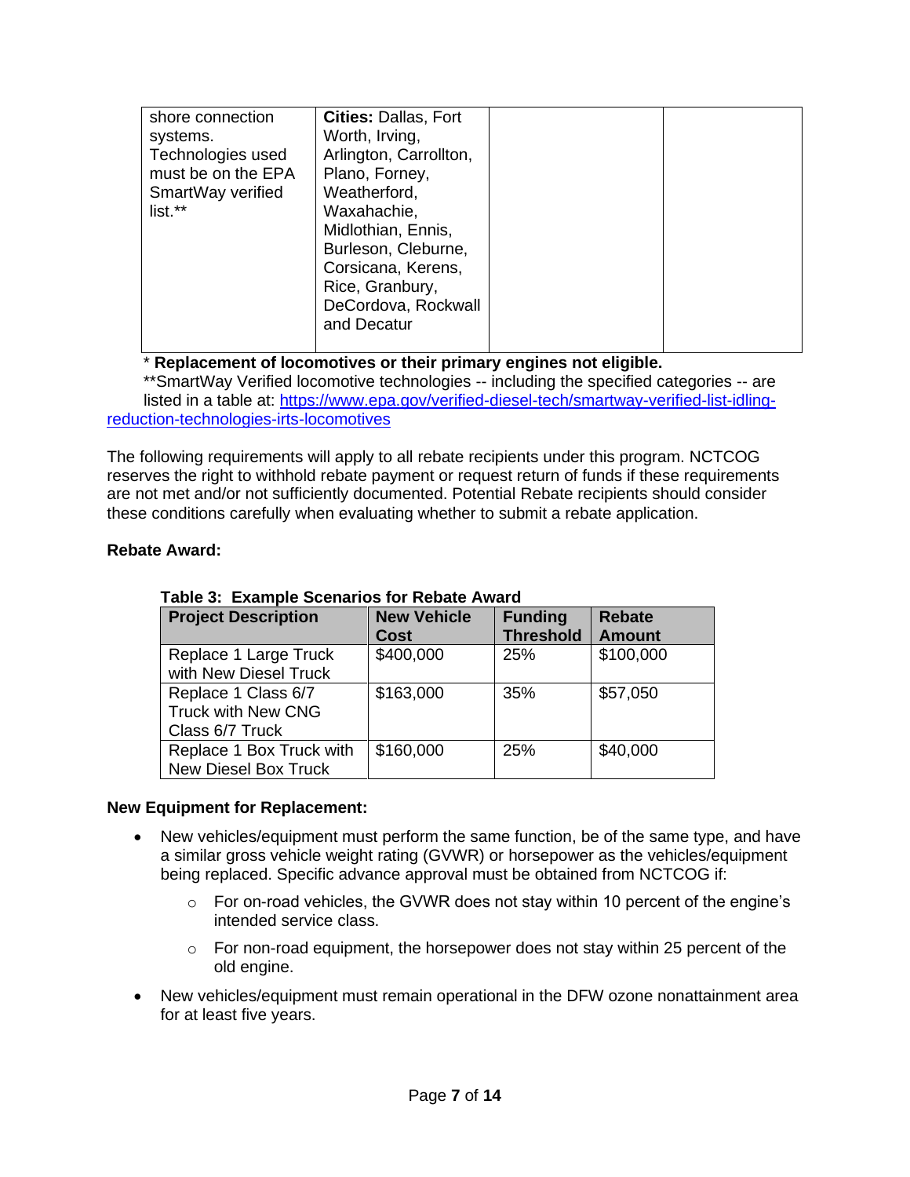| shore connection<br>systems.<br>Technologies used<br>must be on the EPA<br>SmartWay verified<br>list.** | <b>Cities: Dallas, Fort</b><br>Worth, Irving,<br>Arlington, Carrollton,<br>Plano, Forney,<br>Weatherford,<br>Waxahachie,<br>Midlothian, Ennis,<br>Burleson, Cleburne,<br>Corsicana, Kerens,<br>Rice, Granbury,<br>DeCordova, Rockwall<br>and Decatur |  |  |
|---------------------------------------------------------------------------------------------------------|------------------------------------------------------------------------------------------------------------------------------------------------------------------------------------------------------------------------------------------------------|--|--|
|---------------------------------------------------------------------------------------------------------|------------------------------------------------------------------------------------------------------------------------------------------------------------------------------------------------------------------------------------------------------|--|--|

# \* **Replacement of locomotives or their primary engines not eligible.**

 \*\*SmartWay Verified locomotive technologies -- including the specified categories -- are listed in a table at: [https://www.epa.gov/verified-diesel-tech/smartway-verified-list-idling](https://www.epa.gov/verified-diesel-tech/smartway-verified-list-idling-reduction-technologies-irts-locomotives)[reduction-technologies-irts-locomotives](https://www.epa.gov/verified-diesel-tech/smartway-verified-list-idling-reduction-technologies-irts-locomotives)

The following requirements will apply to all rebate recipients under this program. NCTCOG reserves the right to withhold rebate payment or request return of funds if these requirements are not met and/or not sufficiently documented. Potential Rebate recipients should consider these conditions carefully when evaluating whether to submit a rebate application.

### **Rebate Award:**

| <b>Project Description</b> | <b>New Vehicle</b> | <b>Funding</b>   | <b>Rebate</b> |
|----------------------------|--------------------|------------------|---------------|
|                            | <b>Cost</b>        | <b>Threshold</b> | <b>Amount</b> |
| Replace 1 Large Truck      | \$400,000          | 25%              | \$100,000     |
| with New Diesel Truck      |                    |                  |               |
| Replace 1 Class 6/7        | \$163,000          | 35%              | \$57,050      |
| <b>Truck with New CNG</b>  |                    |                  |               |
| Class 6/7 Truck            |                    |                  |               |
| Replace 1 Box Truck with   | \$160,000          | 25%              | \$40,000      |
| New Diesel Box Truck       |                    |                  |               |

#### **Table 3: Example Scenarios for Rebate Award**

#### **New Equipment for Replacement:**

- New vehicles/equipment must perform the same function, be of the same type, and have a similar gross vehicle weight rating (GVWR) or horsepower as the vehicles/equipment being replaced. Specific advance approval must be obtained from NCTCOG if:
	- $\circ$  For on-road vehicles, the GVWR does not stay within 10 percent of the engine's intended service class.
	- o For non-road equipment, the horsepower does not stay within 25 percent of the old engine.
- New vehicles/equipment must remain operational in the DFW ozone nonattainment area for at least five years.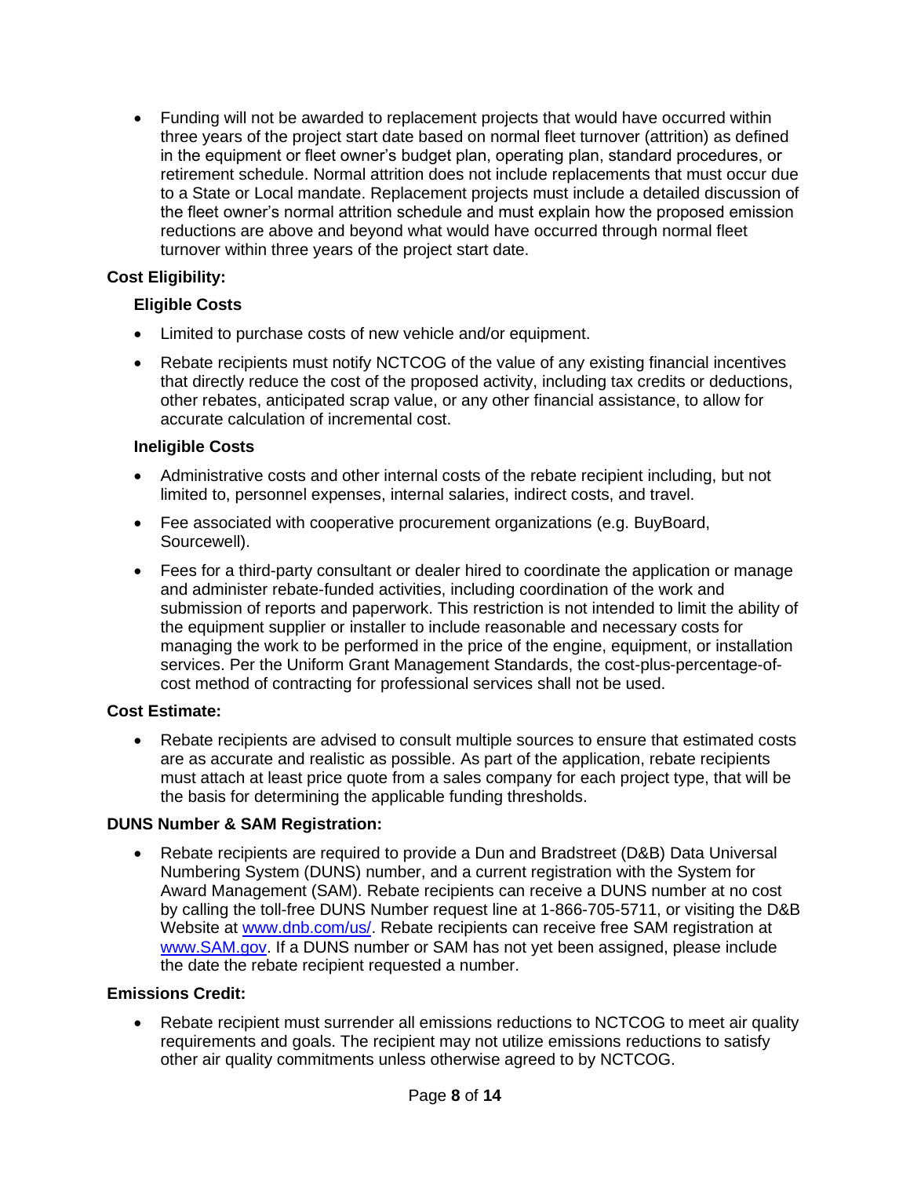• Funding will not be awarded to replacement projects that would have occurred within three years of the project start date based on normal fleet turnover (attrition) as defined in the equipment or fleet owner's budget plan, operating plan, standard procedures, or retirement schedule. Normal attrition does not include replacements that must occur due to a State or Local mandate. Replacement projects must include a detailed discussion of the fleet owner's normal attrition schedule and must explain how the proposed emission reductions are above and beyond what would have occurred through normal fleet turnover within three years of the project start date.

# **Cost Eligibility:**

### **Eligible Costs**

- Limited to purchase costs of new vehicle and/or equipment.
- Rebate recipients must notify NCTCOG of the value of any existing financial incentives that directly reduce the cost of the proposed activity, including tax credits or deductions, other rebates, anticipated scrap value, or any other financial assistance, to allow for accurate calculation of incremental cost.

### **Ineligible Costs**

- Administrative costs and other internal costs of the rebate recipient including, but not limited to, personnel expenses, internal salaries, indirect costs, and travel.
- Fee associated with cooperative procurement organizations (e.g. BuyBoard, Sourcewell).
- Fees for a third-party consultant or dealer hired to coordinate the application or manage and administer rebate-funded activities, including coordination of the work and submission of reports and paperwork. This restriction is not intended to limit the ability of the equipment supplier or installer to include reasonable and necessary costs for managing the work to be performed in the price of the engine, equipment, or installation services. Per the Uniform Grant Management Standards, the cost-plus-percentage-ofcost method of contracting for professional services shall not be used.

### **Cost Estimate:**

• Rebate recipients are advised to consult multiple sources to ensure that estimated costs are as accurate and realistic as possible. As part of the application, rebate recipients must attach at least price quote from a sales company for each project type, that will be the basis for determining the applicable funding thresholds.

### **DUNS Number & SAM Registration:**

• Rebate recipients are required to provide a Dun and Bradstreet (D&B) Data Universal Numbering System (DUNS) number, and a current registration with the System for Award Management (SAM). Rebate recipients can receive a DUNS number at no cost by calling the toll-free DUNS Number request line at 1-866-705-5711, or visiting the D&B Website at [www.dnb.com/us/.](http://www.dnb.com/us/) Rebate recipients can receive free SAM registration at [www.SAM.gov.](http://www.sam.gov/) If a DUNS number or SAM has not yet been assigned, please include the date the rebate recipient requested a number.

### **Emissions Credit:**

Rebate recipient must surrender all emissions reductions to NCTCOG to meet air quality requirements and goals. The recipient may not utilize emissions reductions to satisfy other air quality commitments unless otherwise agreed to by NCTCOG.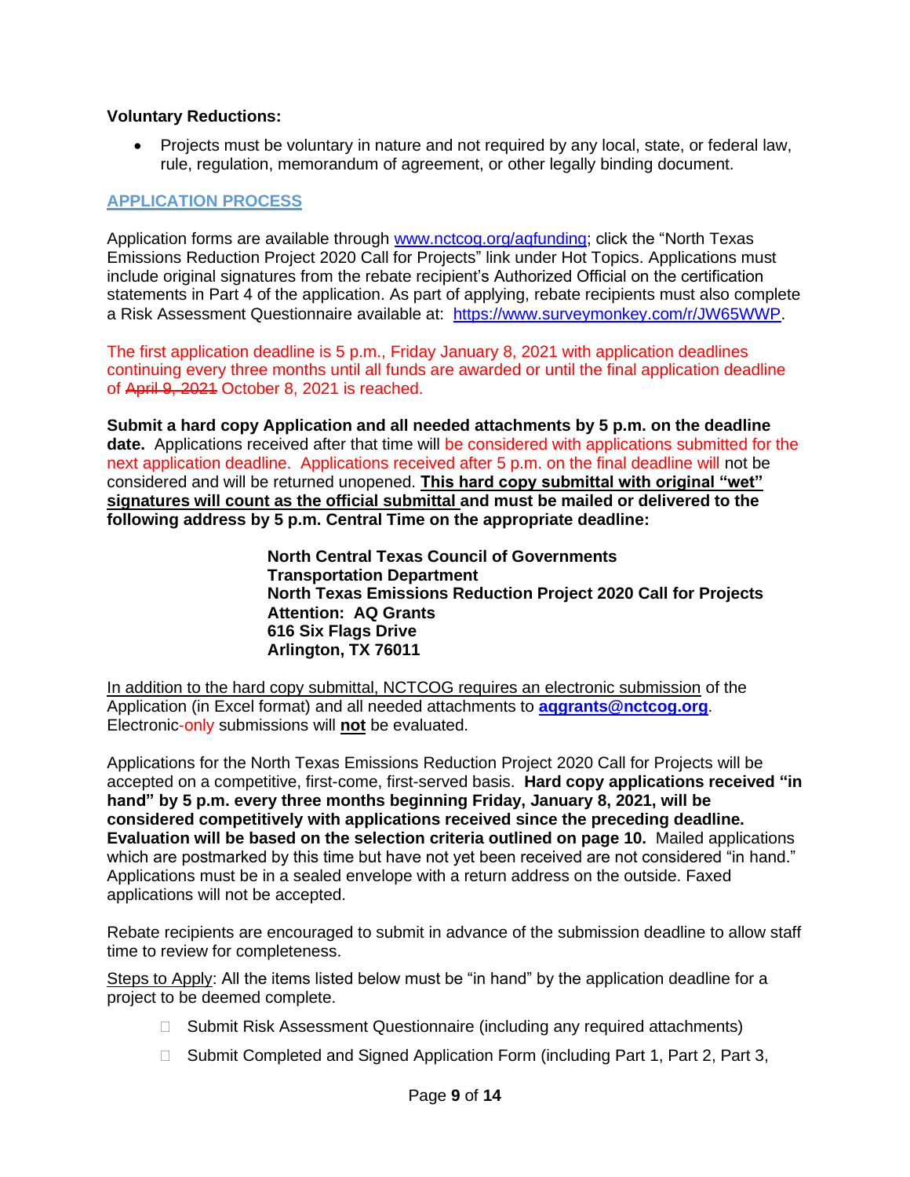#### **Voluntary Reductions:**

• Projects must be voluntary in nature and not required by any local, state, or federal law, rule, regulation, memorandum of agreement, or other legally binding document.

#### <span id="page-8-0"></span>**APPLICATION PROCESS**

Application forms are available through [www.nctcog.org/aqfunding;](http://www.nctcog.org/aqfunding) click the "North Texas Emissions Reduction Project 2020 Call for Projects" link under Hot Topics. Applications must include original signatures from the rebate recipient's Authorized Official on the certification statements in Part 4 of the application. As part of applying, rebate recipients must also complete a Risk Assessment Questionnaire available at: [https://www.surveymonkey.com/r/JW65WWP.](https://gcc01.safelinks.protection.outlook.com/?url=https%3A%2F%2Fwww.surveymonkey.com%2Fr%2FJW65WWP&data=02%7C01%7CJBrown%40nctcog.org%7Ce34942e4085a48b2d22b08d85b55cf20%7C2f5e7ebc22b04fbe934caabddb4e29b1%7C0%7C0%7C637359771393133627&sdata=7HIzs%2B%2FOXz3fUmmpLgGMp5Dpk5qzGmLc0N2ftDrxUcQ%3D&reserved=0)

The first application deadline is 5 p.m., Friday January 8, 2021 with application deadlines continuing every three months until all funds are awarded or until the final application deadline of April 9, 2021 October 8, 2021 is reached.

**Submit a hard copy Application and all needed attachments by 5 p.m. on the deadline date.** Applications received after that time will be considered with applications submitted for the next application deadline. Applications received after 5 p.m. on the final deadline will not be considered and will be returned unopened. **This hard copy submittal with original "wet" signatures will count as the official submittal and must be mailed or delivered to the following address by 5 p.m. Central Time on the appropriate deadline:**

> **North Central Texas Council of Governments Transportation Department North Texas Emissions Reduction Project 2020 Call for Projects Attention: AQ Grants 616 Six Flags Drive Arlington, TX 76011**

In addition to the hard copy submittal, NCTCOG requires an electronic submission of the Application (in Excel format) and all needed attachments to **[aqgrants@nctcog.org](mailto:aqgrants@nctcog.org)**. Electronic-only submissions will **not** be evaluated.

Applications for the North Texas Emissions Reduction Project 2020 Call for Projects will be accepted on a competitive, first-come, first-served basis. **Hard copy applications received "in hand" by 5 p.m. every three months beginning Friday, January 8, 2021, will be considered competitively with applications received since the preceding deadline. Evaluation will be based on the selection criteria outlined on page 10.** Mailed applications which are postmarked by this time but have not yet been received are not considered "in hand." Applications must be in a sealed envelope with a return address on the outside. Faxed applications will not be accepted.

Rebate recipients are encouraged to submit in advance of the submission deadline to allow staff time to review for completeness.

Steps to Apply: All the items listed below must be "in hand" by the application deadline for a project to be deemed complete.

- □ Submit Risk Assessment Questionnaire (including any required attachments)
- □ Submit Completed and Signed Application Form (including Part 1, Part 2, Part 3,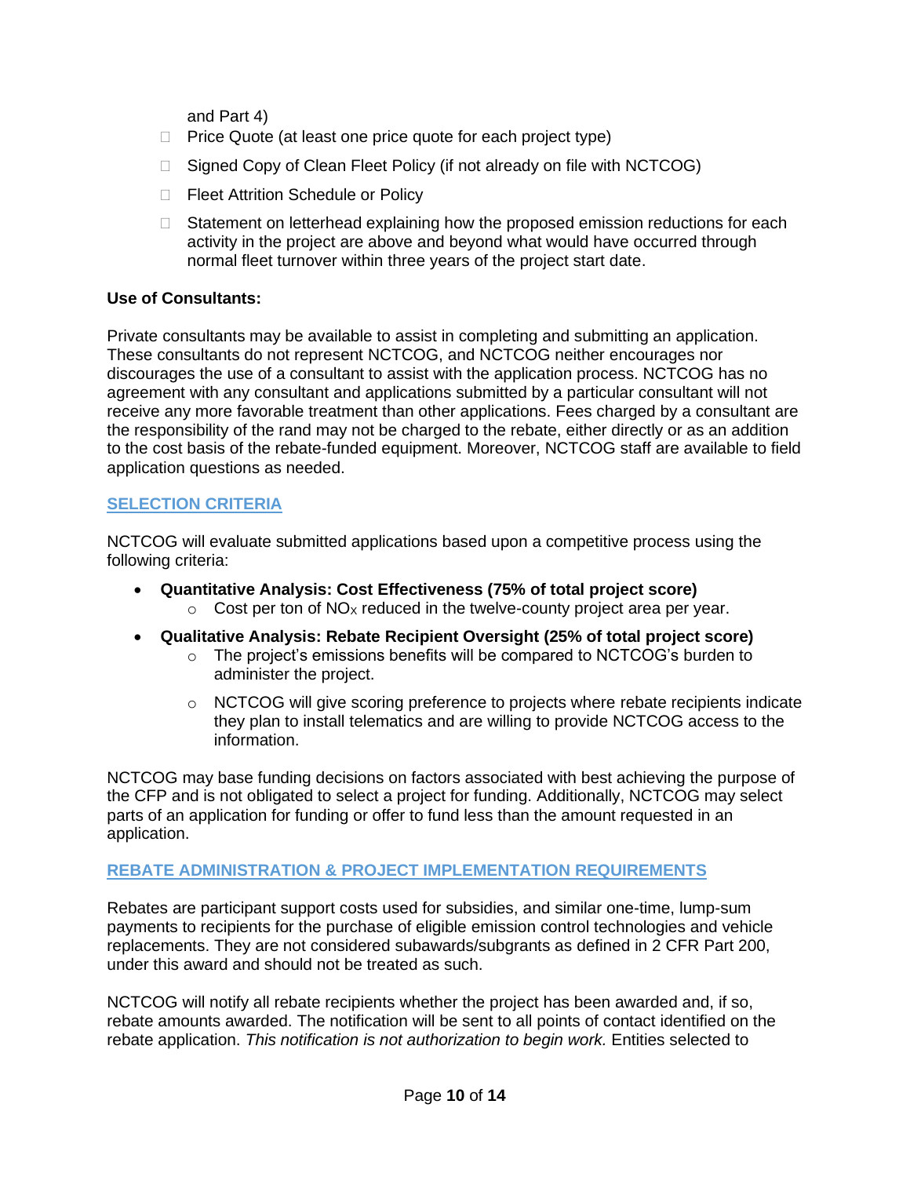and Part 4)

- $\Box$  Price Quote (at least one price quote for each project type)
- □ Signed Copy of Clean Fleet Policy (if not already on file with NCTCOG)
- □ Fleet Attrition Schedule or Policy
- $\Box$  Statement on letterhead explaining how the proposed emission reductions for each activity in the project are above and beyond what would have occurred through normal fleet turnover within three years of the project start date.

#### **Use of Consultants:**

Private consultants may be available to assist in completing and submitting an application. These consultants do not represent NCTCOG, and NCTCOG neither encourages nor discourages the use of a consultant to assist with the application process. NCTCOG has no agreement with any consultant and applications submitted by a particular consultant will not receive any more favorable treatment than other applications. Fees charged by a consultant are the responsibility of the rand may not be charged to the rebate, either directly or as an addition to the cost basis of the rebate-funded equipment. Moreover, NCTCOG staff are available to field application questions as needed.

#### <span id="page-9-0"></span>**SELECTION CRITERIA**

NCTCOG will evaluate submitted applications based upon a competitive process using the following criteria:

- **Quantitative Analysis: Cost Effectiveness (75% of total project score)**  $\circ$  Cost per ton of NO<sub>x</sub> reduced in the twelve-county project area per year.
- **Qualitative Analysis: Rebate Recipient Oversight (25% of total project score)**
	- $\circ$  The project's emissions benefits will be compared to NCTCOG's burden to administer the project.
	- $\circ$  NCTCOG will give scoring preference to projects where rebate recipients indicate they plan to install telematics and are willing to provide NCTCOG access to the information.

NCTCOG may base funding decisions on factors associated with best achieving the purpose of the CFP and is not obligated to select a project for funding. Additionally, NCTCOG may select parts of an application for funding or offer to fund less than the amount requested in an application.

#### <span id="page-9-1"></span>**REBATE ADMINISTRATION & PROJECT IMPLEMENTATION REQUIREMENTS**

Rebates are participant support costs used for subsidies, and similar one-time, lump-sum payments to recipients for the purchase of eligible emission control technologies and vehicle replacements. They are not considered subawards/subgrants as defined in 2 CFR Part 200, under this award and should not be treated as such.

NCTCOG will notify all rebate recipients whether the project has been awarded and, if so, rebate amounts awarded. The notification will be sent to all points of contact identified on the rebate application. *This notification is not authorization to begin work.* Entities selected to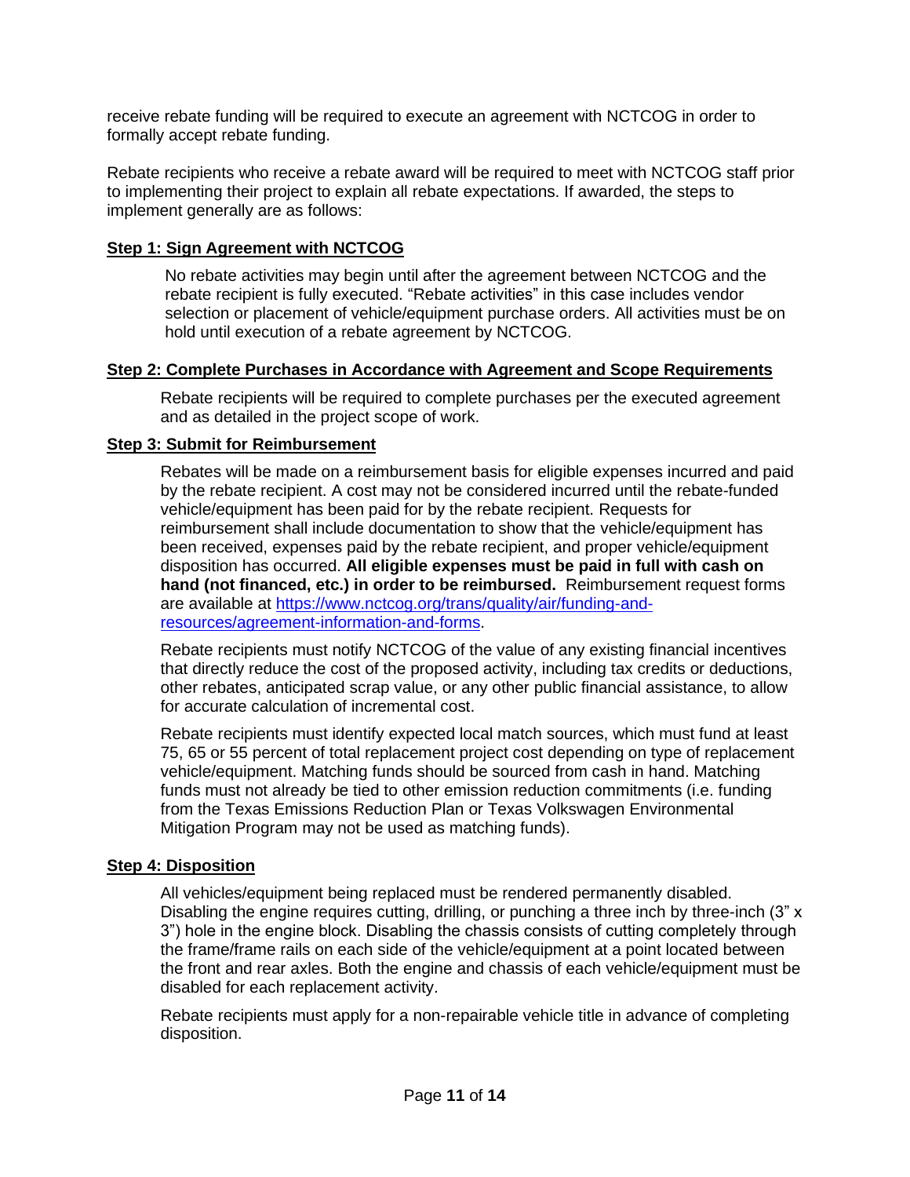receive rebate funding will be required to execute an agreement with NCTCOG in order to formally accept rebate funding.

Rebate recipients who receive a rebate award will be required to meet with NCTCOG staff prior to implementing their project to explain all rebate expectations. If awarded, the steps to implement generally are as follows:

### **Step 1: Sign Agreement with NCTCOG**

No rebate activities may begin until after the agreement between NCTCOG and the rebate recipient is fully executed. "Rebate activities" in this case includes vendor selection or placement of vehicle/equipment purchase orders. All activities must be on hold until execution of a rebate agreement by NCTCOG.

#### **Step 2: Complete Purchases in Accordance with Agreement and Scope Requirements**

Rebate recipients will be required to complete purchases per the executed agreement and as detailed in the project scope of work.

#### **Step 3: Submit for Reimbursement**

Rebates will be made on a reimbursement basis for eligible expenses incurred and paid by the rebate recipient. A cost may not be considered incurred until the rebate-funded vehicle/equipment has been paid for by the rebate recipient. Requests for reimbursement shall include documentation to show that the vehicle/equipment has been received, expenses paid by the rebate recipient, and proper vehicle/equipment disposition has occurred. **All eligible expenses must be paid in full with cash on hand (not financed, etc.) in order to be reimbursed.** Reimbursement request forms are available at [https://www.nctcog.org/trans/quality/air/funding-and](https://www.nctcog.org/trans/quality/air/funding-and-resources/agreement-information-and-forms)[resources/agreement-information-and-forms.](https://www.nctcog.org/trans/quality/air/funding-and-resources/agreement-information-and-forms)

Rebate recipients must notify NCTCOG of the value of any existing financial incentives that directly reduce the cost of the proposed activity, including tax credits or deductions, other rebates, anticipated scrap value, or any other public financial assistance, to allow for accurate calculation of incremental cost.

Rebate recipients must identify expected local match sources, which must fund at least 75, 65 or 55 percent of total replacement project cost depending on type of replacement vehicle/equipment. Matching funds should be sourced from cash in hand. Matching funds must not already be tied to other emission reduction commitments (i.e. funding from the Texas Emissions Reduction Plan or Texas Volkswagen Environmental Mitigation Program may not be used as matching funds).

### **Step 4: Disposition**

All vehicles/equipment being replaced must be rendered permanently disabled. Disabling the engine requires cutting, drilling, or punching a three inch by three-inch (3" x 3") hole in the engine block. Disabling the chassis consists of cutting completely through the frame/frame rails on each side of the vehicle/equipment at a point located between the front and rear axles. Both the engine and chassis of each vehicle/equipment must be disabled for each replacement activity.

Rebate recipients must apply for a non-repairable vehicle title in advance of completing disposition.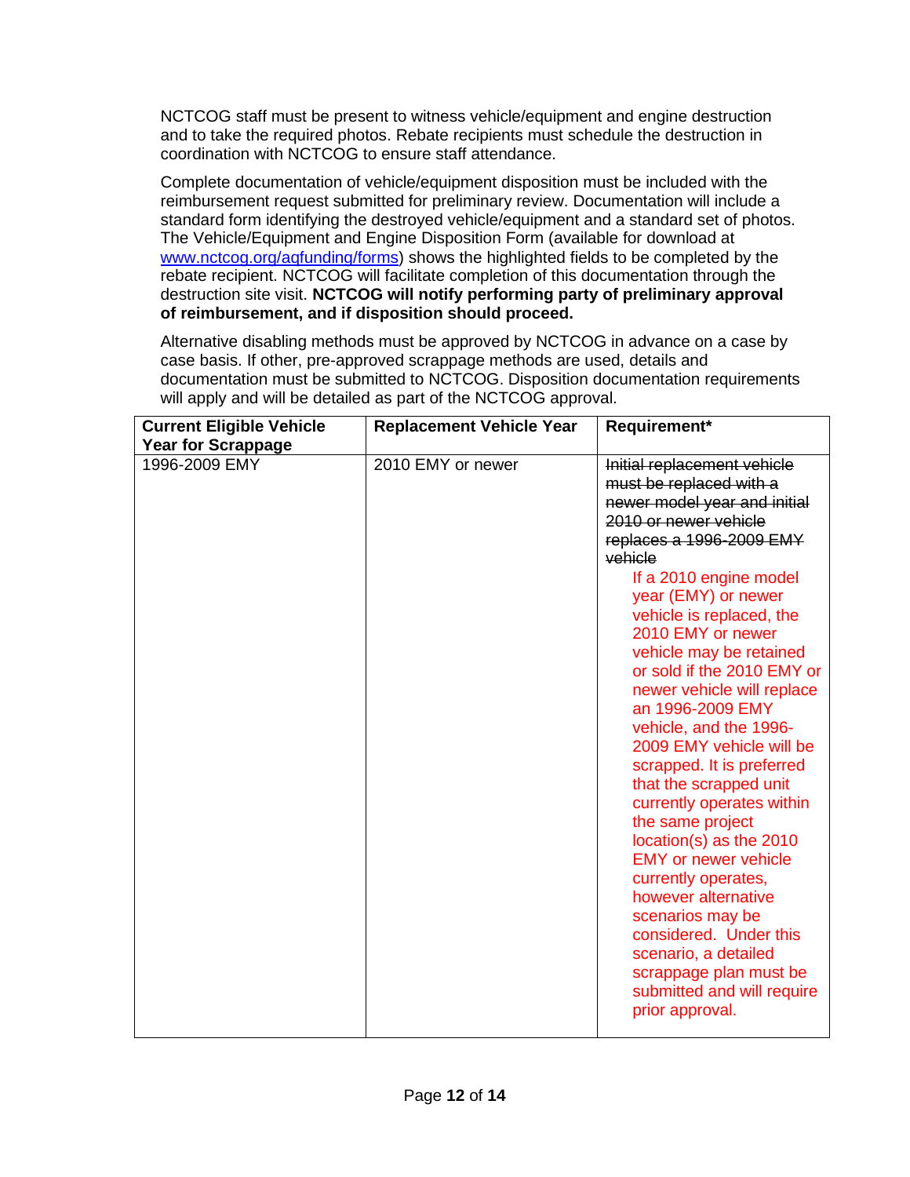NCTCOG staff must be present to witness vehicle/equipment and engine destruction and to take the required photos. Rebate recipients must schedule the destruction in coordination with NCTCOG to ensure staff attendance.

Complete documentation of vehicle/equipment disposition must be included with the reimbursement request submitted for preliminary review. Documentation will include a standard form identifying the destroyed vehicle/equipment and a standard set of photos. The Vehicle/Equipment and Engine Disposition Form (available for download at [www.nctcog.org/aqfunding/forms\)](http://www.nctcog.org/AQfunding/forms) shows the highlighted fields to be completed by the rebate recipient. NCTCOG will facilitate completion of this documentation through the destruction site visit. **NCTCOG will notify performing party of preliminary approval of reimbursement, and if disposition should proceed.**

Alternative disabling methods must be approved by NCTCOG in advance on a case by case basis. If other, pre-approved scrappage methods are used, details and documentation must be submitted to NCTCOG. Disposition documentation requirements will apply and will be detailed as part of the NCTCOG approval.

| <b>Current Eligible Vehicle</b><br><b>Year for Scrappage</b> | <b>Replacement Vehicle Year</b> | Requirement*                                                                                                                                                                                                                                                                                                                                                                                                                                                                                                                                                                                                                                                                                                                                                                               |
|--------------------------------------------------------------|---------------------------------|--------------------------------------------------------------------------------------------------------------------------------------------------------------------------------------------------------------------------------------------------------------------------------------------------------------------------------------------------------------------------------------------------------------------------------------------------------------------------------------------------------------------------------------------------------------------------------------------------------------------------------------------------------------------------------------------------------------------------------------------------------------------------------------------|
| 1996-2009 EMY                                                | 2010 EMY or newer               | Initial replacement vehicle<br>must be replaced with a<br>newer model year and initial<br>2010 or newer vehicle<br>replaces a 1996-2009 EMY<br>vehicle<br>If a 2010 engine model<br>year (EMY) or newer<br>vehicle is replaced, the<br>2010 EMY or newer<br>vehicle may be retained<br>or sold if the 2010 EMY or<br>newer vehicle will replace<br>an 1996-2009 EMY<br>vehicle, and the 1996-<br>2009 EMY vehicle will be<br>scrapped. It is preferred<br>that the scrapped unit<br>currently operates within<br>the same project<br>location(s) as the 2010<br><b>EMY</b> or newer vehicle<br>currently operates,<br>however alternative<br>scenarios may be<br>considered. Under this<br>scenario, a detailed<br>scrappage plan must be<br>submitted and will require<br>prior approval. |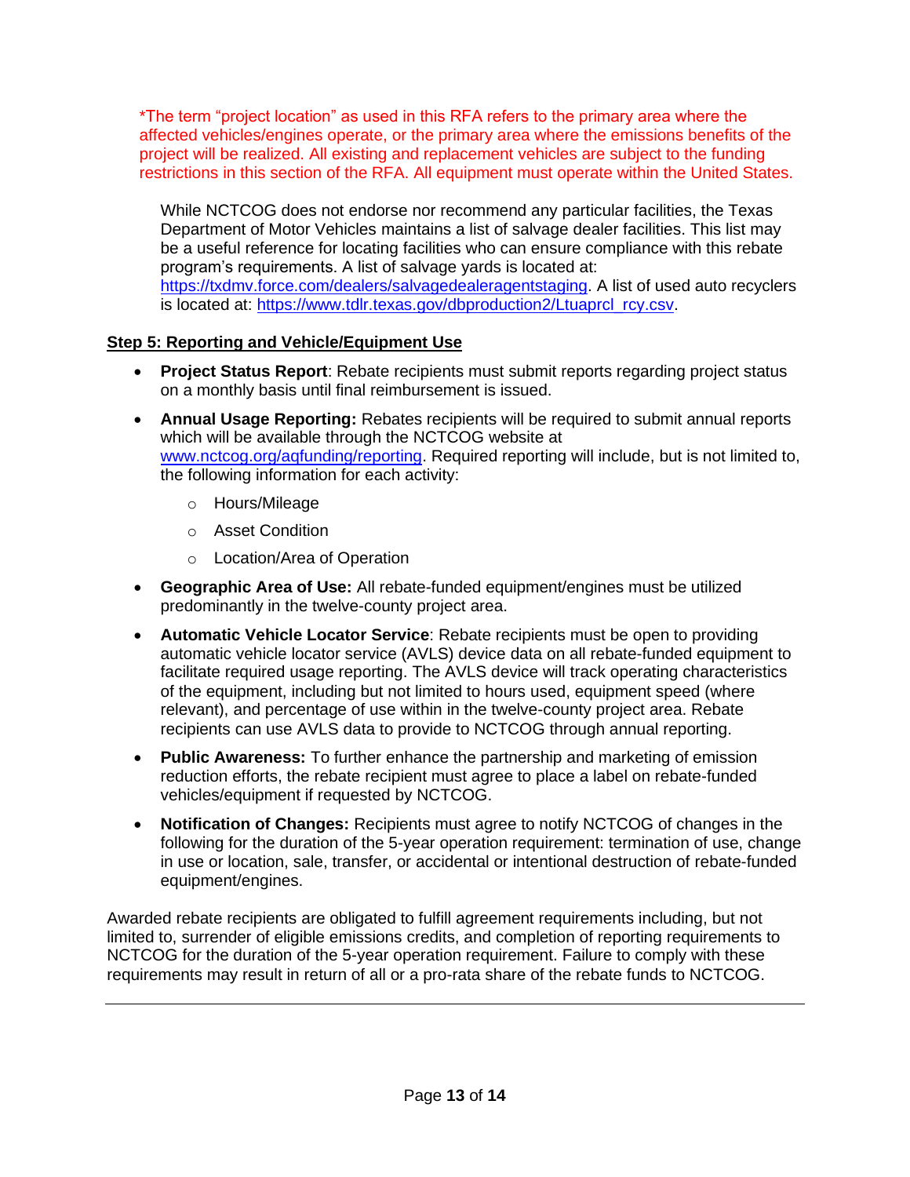\*The term "project location" as used in this RFA refers to the primary area where the affected vehicles/engines operate, or the primary area where the emissions benefits of the project will be realized. All existing and replacement vehicles are subject to the funding restrictions in this section of the RFA. All equipment must operate within the United States.

While NCTCOG does not endorse nor recommend any particular facilities, the Texas Department of Motor Vehicles maintains a list of salvage dealer facilities. This list may be a useful reference for locating facilities who can ensure compliance with this rebate program's requirements. A list of salvage yards is located at: [https://txdmv.force.com/dealers/salvagedealeragentstaging.](https://txdmv.force.com/dealers/salvagedealeragentstaging) A list of used auto recyclers is located at: [https://www.tdlr.texas.gov/dbproduction2/Ltuaprcl\\_rcy.csv.](https://www.tdlr.texas.gov/dbproduction2/Ltuaprcl_rcy.csv)

# **Step 5: Reporting and Vehicle/Equipment Use**

- **Project Status Report**: Rebate recipients must submit reports regarding project status on a monthly basis until final reimbursement is issued.
- **Annual Usage Reporting:** Rebates recipients will be required to submit annual reports which will be available through the NCTCOG website at [www.nctcog.org/aqfunding/reporting.](http://www.nctcog.org/aqfunding/reporting) Required reporting will include, but is not limited to, the following information for each activity:
	- o Hours/Mileage
	- o Asset Condition
	- o Location/Area of Operation
- **Geographic Area of Use:** All rebate-funded equipment/engines must be utilized predominantly in the twelve-county project area.
- **Automatic Vehicle Locator Service**: Rebate recipients must be open to providing automatic vehicle locator service (AVLS) device data on all rebate-funded equipment to facilitate required usage reporting. The AVLS device will track operating characteristics of the equipment, including but not limited to hours used, equipment speed (where relevant), and percentage of use within in the twelve-county project area. Rebate recipients can use AVLS data to provide to NCTCOG through annual reporting.
- **Public Awareness:** To further enhance the partnership and marketing of emission reduction efforts, the rebate recipient must agree to place a label on rebate-funded vehicles/equipment if requested by NCTCOG.
- **Notification of Changes:** Recipients must agree to notify NCTCOG of changes in the following for the duration of the 5-year operation requirement: termination of use, change in use or location, sale, transfer, or accidental or intentional destruction of rebate-funded equipment/engines.

Awarded rebate recipients are obligated to fulfill agreement requirements including, but not limited to, surrender of eligible emissions credits, and completion of reporting requirements to NCTCOG for the duration of the 5-year operation requirement. Failure to comply with these requirements may result in return of all or a pro-rata share of the rebate funds to NCTCOG.